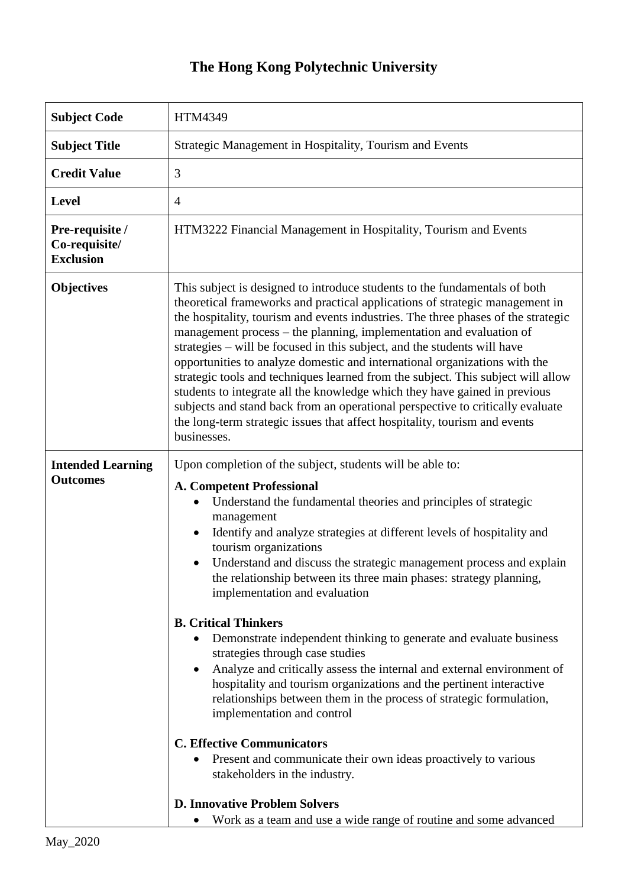## **The Hong Kong Polytechnic University**

| <b>Subject Code</b>                                  | HTM4349                                                                                                                                                                                                                                                                                                                                                                                                                                                                                                                                                                                                                                                                                                                                                                                                                                                                                                                                                                                                                                                    |
|------------------------------------------------------|------------------------------------------------------------------------------------------------------------------------------------------------------------------------------------------------------------------------------------------------------------------------------------------------------------------------------------------------------------------------------------------------------------------------------------------------------------------------------------------------------------------------------------------------------------------------------------------------------------------------------------------------------------------------------------------------------------------------------------------------------------------------------------------------------------------------------------------------------------------------------------------------------------------------------------------------------------------------------------------------------------------------------------------------------------|
| <b>Subject Title</b>                                 | Strategic Management in Hospitality, Tourism and Events                                                                                                                                                                                                                                                                                                                                                                                                                                                                                                                                                                                                                                                                                                                                                                                                                                                                                                                                                                                                    |
| <b>Credit Value</b>                                  | 3                                                                                                                                                                                                                                                                                                                                                                                                                                                                                                                                                                                                                                                                                                                                                                                                                                                                                                                                                                                                                                                          |
| <b>Level</b>                                         | $\overline{4}$                                                                                                                                                                                                                                                                                                                                                                                                                                                                                                                                                                                                                                                                                                                                                                                                                                                                                                                                                                                                                                             |
| Pre-requisite /<br>Co-requisite/<br><b>Exclusion</b> | HTM3222 Financial Management in Hospitality, Tourism and Events                                                                                                                                                                                                                                                                                                                                                                                                                                                                                                                                                                                                                                                                                                                                                                                                                                                                                                                                                                                            |
| <b>Objectives</b>                                    | This subject is designed to introduce students to the fundamentals of both<br>theoretical frameworks and practical applications of strategic management in<br>the hospitality, tourism and events industries. The three phases of the strategic<br>management process – the planning, implementation and evaluation of<br>strategies - will be focused in this subject, and the students will have<br>opportunities to analyze domestic and international organizations with the<br>strategic tools and techniques learned from the subject. This subject will allow<br>students to integrate all the knowledge which they have gained in previous<br>subjects and stand back from an operational perspective to critically evaluate<br>the long-term strategic issues that affect hospitality, tourism and events<br>businesses.                                                                                                                                                                                                                          |
| <b>Intended Learning</b><br><b>Outcomes</b>          | Upon completion of the subject, students will be able to:<br><b>A. Competent Professional</b><br>Understand the fundamental theories and principles of strategic<br>management<br>Identify and analyze strategies at different levels of hospitality and<br>tourism organizations<br>Understand and discuss the strategic management process and explain<br>the relationship between its three main phases: strategy planning,<br>implementation and evaluation<br><b>B. Critical Thinkers</b><br>Demonstrate independent thinking to generate and evaluate business<br>$\bullet$<br>strategies through case studies<br>Analyze and critically assess the internal and external environment of<br>hospitality and tourism organizations and the pertinent interactive<br>relationships between them in the process of strategic formulation,<br>implementation and control<br><b>C. Effective Communicators</b><br>Present and communicate their own ideas proactively to various<br>stakeholders in the industry.<br><b>D. Innovative Problem Solvers</b> |
|                                                      | Work as a team and use a wide range of routine and some advanced<br>$\bullet$                                                                                                                                                                                                                                                                                                                                                                                                                                                                                                                                                                                                                                                                                                                                                                                                                                                                                                                                                                              |